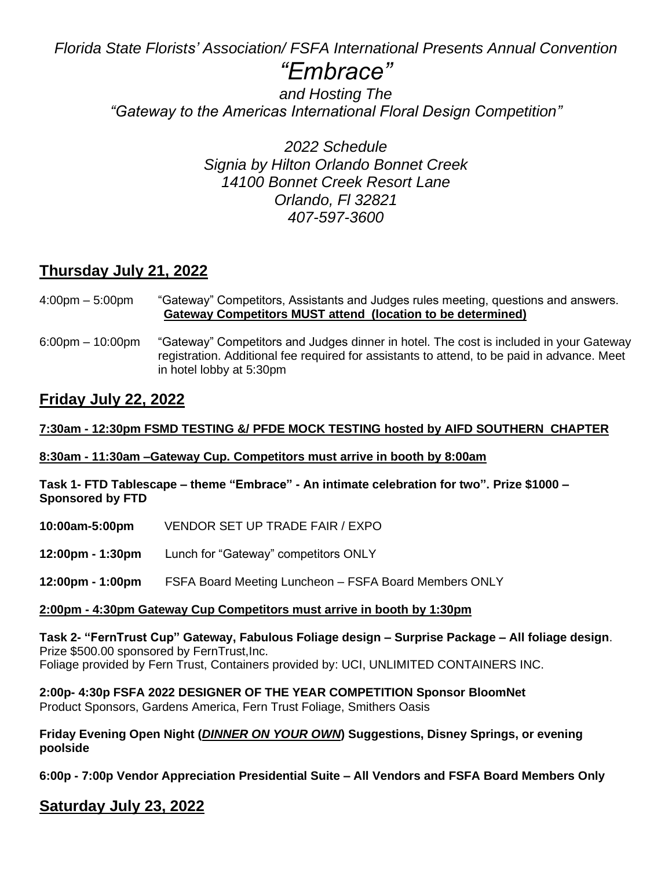*Florida State Florists' Association/ FSFA International Presents Annual Convention* 

# *"Embrace"*

*and Hosting The "Gateway to the Americas International Floral Design Competition"*

> *2022 Schedule Signia by Hilton Orlando Bonnet Creek 14100 Bonnet Creek Resort Lane Orlando, Fl 32821 407-597-3600*

# **Thursday July 21, 2022**

4:00pm – 5:00pm "Gateway" Competitors, Assistants and Judges rules meeting, questions and answers. **Gateway Competitors MUST attend (location to be determined)**

6:00pm – 10:00pm "Gateway" Competitors and Judges dinner in hotel. The cost is included in your Gateway registration. Additional fee required for assistants to attend, to be paid in advance. Meet in hotel lobby at 5:30pm

# **Friday July 22, 2022**

# **7:30am - 12:30pm FSMD TESTING &/ PFDE MOCK TESTING hosted by AIFD SOUTHERN CHAPTER**

**8:30am - 11:30am –Gateway Cup. Competitors must arrive in booth by 8:00am** 

**Task 1- FTD Tablescape – theme "Embrace" - An intimate celebration for two". Prize \$1000 – Sponsored by FTD**

- **10:00am-5:00pm** VENDOR SET UP TRADE FAIR / EXPO
- **12:00pm - 1:30pm** Lunch for "Gateway" competitors ONLY
- **12:00pm - 1:00pm** FSFA Board Meeting Luncheon FSFA Board Members ONLY

# **2:00pm - 4:30pm Gateway Cup Competitors must arrive in booth by 1:30pm**

**Task 2- "FernTrust Cup" Gateway, Fabulous Foliage design – Surprise Package – All foliage design**. Prize \$500.00 sponsored by FernTrust,Inc. Foliage provided by Fern Trust, Containers provided by: UCI, UNLIMITED CONTAINERS INC.

**2:00p- 4:30p FSFA 2022 DESIGNER OF THE YEAR COMPETITION Sponsor BloomNet** 

Product Sponsors, Gardens America, Fern Trust Foliage, Smithers Oasis

**Friday Evening Open Night (***DINNER ON YOUR OWN***) Suggestions, Disney Springs, or evening poolside**

**6:00p - 7:00p Vendor Appreciation Presidential Suite – All Vendors and FSFA Board Members Only**

# **Saturday July 23, 2022**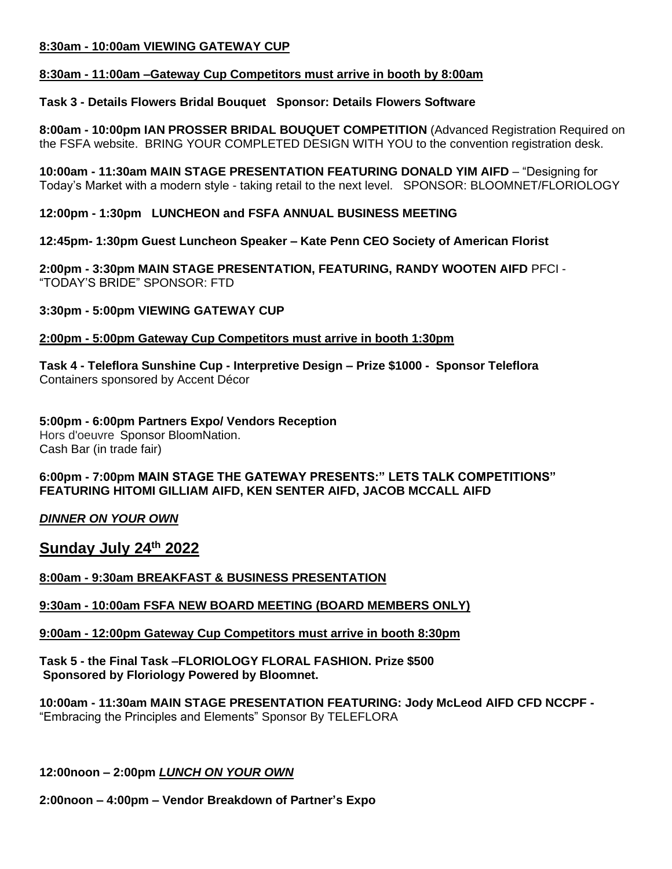### **8:30am - 10:00am VIEWING GATEWAY CUP**

### **8:30am - 11:00am –Gateway Cup Competitors must arrive in booth by 8:00am**

## **Task 3 - Details Flowers Bridal Bouquet Sponsor: Details Flowers Software**

**8:00am - 10:00pm IAN PROSSER BRIDAL BOUQUET COMPETITION** (Advanced Registration Required on the FSFA website. BRING YOUR COMPLETED DESIGN WITH YOU to the convention registration desk.

**10:00am - 11:30am MAIN STAGE PRESENTATION FEATURING DONALD YIM AIFD** – "Designing for Today's Market with a modern style - taking retail to the next level. SPONSOR: BLOOMNET/FLORIOLOGY

**12:00pm - 1:30pm LUNCHEON and FSFA ANNUAL BUSINESS MEETING**

**12:45pm- 1:30pm Guest Luncheon Speaker – Kate Penn CEO Society of American Florist**

**2:00pm - 3:30pm MAIN STAGE PRESENTATION, FEATURING, RANDY WOOTEN AIFD** PFCI - "TODAY'S BRIDE" SPONSOR: FTD

## **3:30pm - 5:00pm VIEWING GATEWAY CUP**

## **2:00pm - 5:00pm Gateway Cup Competitors must arrive in booth 1:30pm**

**Task 4 - Teleflora Sunshine Cup - Interpretive Design – Prize \$1000 - Sponsor Teleflora** Containers sponsored by Accent Décor

**5:00pm - 6:00pm Partners Expo/ Vendors Reception** Hors d'oeuvre Sponsor BloomNation. Cash Bar (in trade fair)

### **6:00pm - 7:00pm MAIN STAGE THE GATEWAY PRESENTS:" LETS TALK COMPETITIONS" FEATURING HITOMI GILLIAM AIFD, KEN SENTER AIFD, JACOB MCCALL AIFD**

*DINNER ON YOUR OWN* 

**Sunday July 24th 2022**

**8:00am - 9:30am BREAKFAST & BUSINESS PRESENTATION** 

# **9:30am - 10:00am FSFA NEW BOARD MEETING (BOARD MEMBERS ONLY)**

### **9:00am - 12:00pm Gateway Cup Competitors must arrive in booth 8:30pm**

**Task 5 - the Final Task –FLORIOLOGY FLORAL FASHION. Prize \$500 Sponsored by Floriology Powered by Bloomnet.**

**10:00am - 11:30am MAIN STAGE PRESENTATION FEATURING: Jody McLeod AIFD CFD NCCPF -** "Embracing the Principles and Elements" Sponsor By TELEFLORA

### **12:00noon – 2:00pm** *LUNCH ON YOUR OWN*

**2:00noon – 4:00pm – Vendor Breakdown of Partner's Expo**